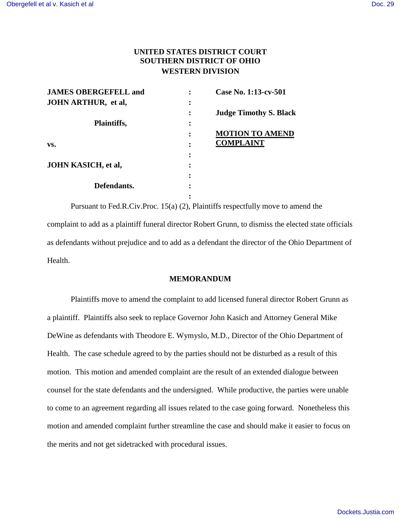## **UNITED STATES DISTRICT COURT SOUTHERN DISTRICT OF OHIO WESTERN DIVISION**

| <b>JAMES OBERGEFELL and</b> |           | Case No. 1:13-cv-501          |
|-----------------------------|-----------|-------------------------------|
| <b>JOHN ARTHUR, et al,</b>  | ٠         |                               |
|                             |           | <b>Judge Timothy S. Black</b> |
| Plaintiffs,                 | $\bullet$ |                               |
|                             |           | <b>MOTION TO AMEND</b>        |
| VS.                         |           | <b>COMPLAINT</b>              |
|                             |           |                               |
| <b>JOHN KASICH, et al,</b>  |           |                               |
|                             |           |                               |
| Defendants.                 |           |                               |
|                             |           |                               |

Pursuant to Fed.R.Civ.Proc. 15(a) (2), Plaintiffs respectfully move to amend the complaint to add as a plaintiff funeral director Robert Grunn, to dismiss the elected state officials as defendants without prejudice and to add as a defendant the director of the Ohio Department of Health.

## **MEMORANDUM**

Plaintiffs move to amend the complaint to add licensed funeral director Robert Grunn as a plaintiff. Plaintiffs also seek to replace Governor John Kasich and Attorney General Mike DeWine as defendants with Theodore E. Wymyslo, M.D., Director of the Ohio Department of Health. The case schedule agreed to by the parties should not be disturbed as a result of this motion. This motion and amended complaint are the result of an extended dialogue between counsel for the state defendants and the undersigned. While productive, the parties were unable to come to an agreement regarding all issues related to the case going forward. Nonetheless this motion and amended complaint further streamline the case and should make it easier to focus on the merits and not get sidetracked with procedural issues.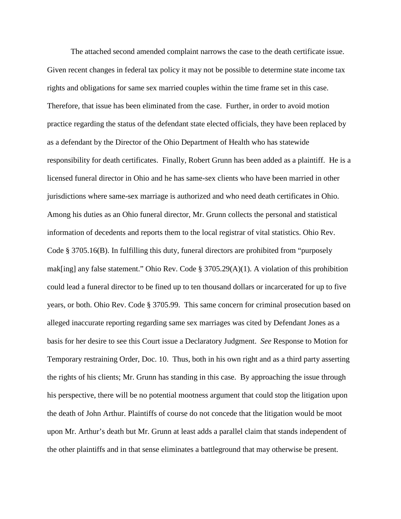The attached second amended complaint narrows the case to the death certificate issue. Given recent changes in federal tax policy it may not be possible to determine state income tax rights and obligations for same sex married couples within the time frame set in this case. Therefore, that issue has been eliminated from the case. Further, in order to avoid motion practice regarding the status of the defendant state elected officials, they have been replaced by as a defendant by the Director of the Ohio Department of Health who has statewide responsibility for death certificates. Finally, Robert Grunn has been added as a plaintiff. He is a licensed funeral director in Ohio and he has same-sex clients who have been married in other jurisdictions where same-sex marriage is authorized and who need death certificates in Ohio. Among his duties as an Ohio funeral director, Mr. Grunn collects the personal and statistical information of decedents and reports them to the local registrar of vital statistics. Ohio Rev. Code § 3705.16(B). In fulfilling this duty, funeral directors are prohibited from "purposely mak[ing] any false statement." Ohio Rev. Code § 3705.29(A)(1). A violation of this prohibition could lead a funeral director to be fined up to ten thousand dollars or incarcerated for up to five years, or both. Ohio Rev. Code § 3705.99. This same concern for criminal prosecution based on alleged inaccurate reporting regarding same sex marriages was cited by Defendant Jones as a basis for her desire to see this Court issue a Declaratory Judgment. *See* Response to Motion for Temporary restraining Order, Doc. 10. Thus, both in his own right and as a third party asserting the rights of his clients; Mr. Grunn has standing in this case. By approaching the issue through his perspective, there will be no potential mootness argument that could stop the litigation upon the death of John Arthur. Plaintiffs of course do not concede that the litigation would be moot upon Mr. Arthur's death but Mr. Grunn at least adds a parallel claim that stands independent of the other plaintiffs and in that sense eliminates a battleground that may otherwise be present.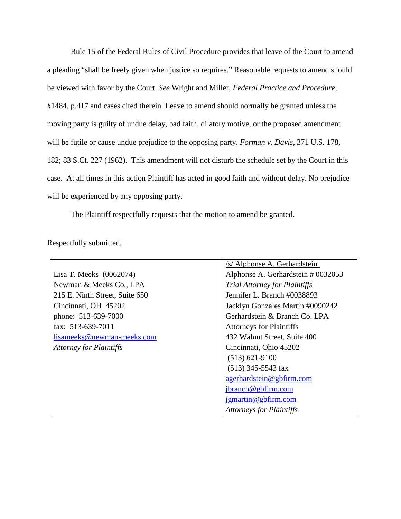Rule 15 of the Federal Rules of Civil Procedure provides that leave of the Court to amend a pleading "shall be freely given when justice so requires." Reasonable requests to amend should be viewed with favor by the Court. *See* Wright and Miller, *Federal Practice and Procedure*, §1484, p.417 and cases cited therein. Leave to amend should normally be granted unless the moving party is guilty of undue delay, bad faith, dilatory motive, or the proposed amendment will be futile or cause undue prejudice to the opposing party. *Forman v. Davis*, 371 U.S. 178, 182; 83 S.Ct. 227 (1962). This amendment will not disturb the schedule set by the Court in this case. At all times in this action Plaintiff has acted in good faith and without delay. No prejudice will be experienced by any opposing party.

The Plaintiff respectfully requests that the motion to amend be granted.

Respectfully submitted,

|                                | /s/ Alphonse A. Gerhardstein         |
|--------------------------------|--------------------------------------|
| Lisa T. Meeks (0062074)        | Alphonse A. Gerhardstein # 0032053   |
| Newman & Meeks Co., LPA        | <b>Trial Attorney for Plaintiffs</b> |
| 215 E. Ninth Street, Suite 650 | Jennifer L. Branch #0038893          |
| Cincinnati, OH 45202           | Jacklyn Gonzales Martin #0090242     |
| phone: 513-639-7000            | Gerhardstein & Branch Co. LPA        |
| fax: 513-639-7011              | <b>Attorneys for Plaintiffs</b>      |
| lisameeks@newman-meeks.com     | 432 Walnut Street, Suite 400         |
| <b>Attorney for Plaintiffs</b> | Cincinnati, Ohio 45202               |
|                                | $(513) 621 - 9100$                   |
|                                | $(513)$ 345-5543 fax                 |
|                                | agerhardstein@gbfirm.com             |
|                                | jbranch@gbfirm.com                   |
|                                | $\gamma$ igmartin@gbfirm.com         |
|                                | <b>Attorneys for Plaintiffs</b>      |